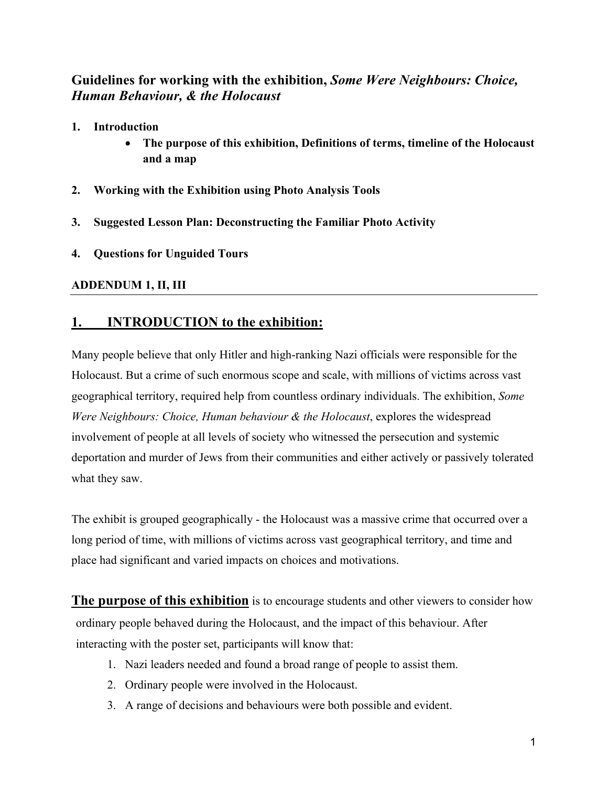## **Guidelines for working with the exhibition,** *Some Were Neighbours: Choice, Human Behaviour, & the Holocaust*

- **1. Introduction**
	- **The purpose of this exhibition, Definitions of terms, timeline of the Holocaust and a map**
- **2. Working with the Exhibition using Photo Analysis Tools**
- **3. Suggested Lesson Plan: Deconstructing the Familiar Photo Activity**
- **4. Questions for Unguided Tours**

#### **ADDENDUM 1, II, III**

### **1. INTRODUCTION to the exhibition:**

Many people believe that only Hitler and high-ranking Nazi officials were responsible for the Holocaust. But a crime of such enormous scope and scale, with millions of victims across vast geographical territory, required help from countless ordinary individuals. The exhibition, *Some Were Neighbours: Choice, Human behaviour & the Holocaust*, explores the widespread involvement of people at all levels of society who witnessed the persecution and systemic deportation and murder of Jews from their communities and either actively or passively tolerated what they saw.

The exhibit is grouped geographically - the Holocaust was a massive crime that occurred over a long period of time, with millions of victims across vast geographical territory, and time and place had significant and varied impacts on choices and motivations.

**The purpose of this exhibition** is to encourage students and other viewers to consider how ordinary people behaved during the Holocaust, and the impact of this behaviour. After interacting with the poster set, participants will know that:

- 1. Nazi leaders needed and found a broad range of people to assist them.
- 2. Ordinary people were involved in the Holocaust.
- 3. A range of decisions and behaviours were both possible and evident.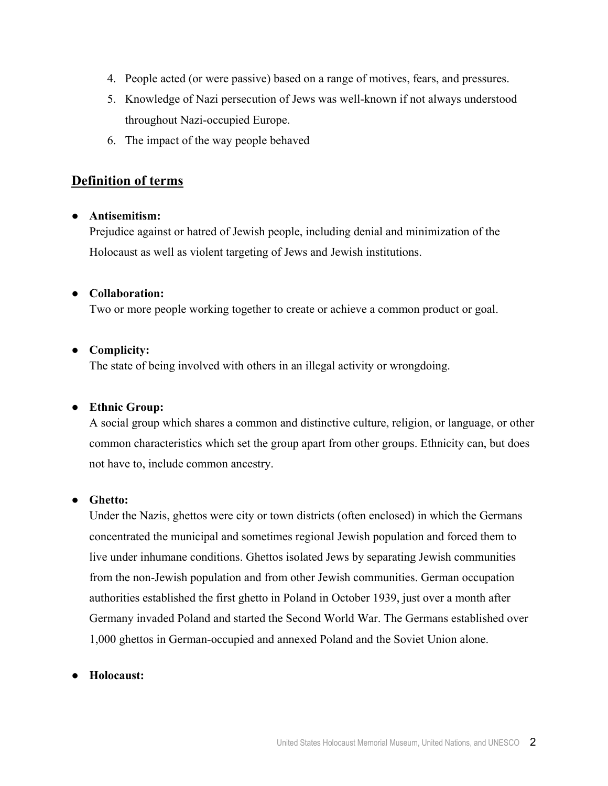- 4. People acted (or were passive) based on a range of motives, fears, and pressures.
- 5. Knowledge of Nazi persecution of Jews was well-known if not always understood throughout Nazi-occupied Europe.
- 6. The impact of the way people behaved

#### **Definition of terms**

#### ● **Antisemitism:**

Prejudice against or hatred of Jewish people, including denial and minimization of the Holocaust as well as violent targeting of Jews and Jewish institutions.

#### ● **Collaboration:**

Two or more people working together to create or achieve a common product or goal.

#### ● **Complicity:**

The state of being involved with others in an illegal activity or wrongdoing.

#### ● **Ethnic Group:**

A social group which shares a common and distinctive culture, religion, or language, or other common characteristics which set the group apart from other groups. Ethnicity can, but does not have to, include common ancestry.

#### ● **Ghetto:**

Under the Nazis, ghettos were city or town districts (often enclosed) in which the Germans concentrated the municipal and sometimes regional Jewish population and forced them to live under inhumane conditions. Ghettos isolated Jews by separating Jewish communities from the non-Jewish population and from other Jewish communities. German occupation authorities established the first ghetto in Poland in October 1939, just over a month after Germany invaded Poland and started the Second World War. The Germans established over 1,000 ghettos in German-occupied and annexed Poland and the Soviet Union alone.

#### ● **Holocaust:**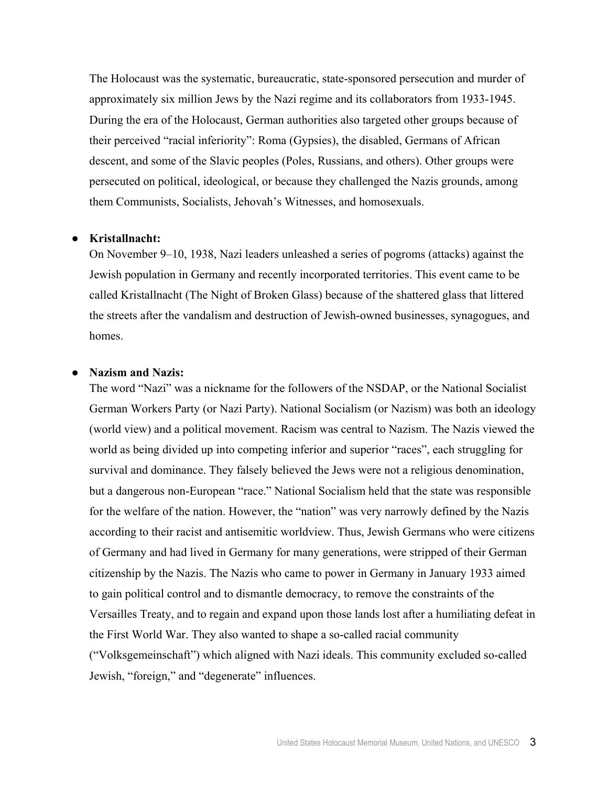The Holocaust was the systematic, bureaucratic, state-sponsored persecution and murder of approximately six million Jews by the Nazi regime and its collaborators from 1933-1945. During the era of the Holocaust, German authorities also targeted other groups because of their perceived "racial inferiority": Roma (Gypsies), the disabled, Germans of African descent, and some of the Slavic peoples (Poles, Russians, and others). Other groups were persecuted on political, ideological, or because they challenged the Nazis grounds, among them Communists, Socialists, Jehovah's Witnesses, and homosexuals.

#### ● **Kristallnacht:**

On November 9–10, 1938, Nazi leaders unleashed a series of pogroms (attacks) against the Jewish population in Germany and recently incorporated territories. This event came to be called Kristallnacht (The Night of Broken Glass) because of the shattered glass that littered the streets after the vandalism and destruction of Jewish-owned businesses, synagogues, and homes.

#### ● **Nazism and Nazis:**

The word "Nazi" was a nickname for the followers of the NSDAP, or the National Socialist German Workers Party (or Nazi Party). National Socialism (or Nazism) was both an ideology (world view) and a political movement. Racism was central to Nazism. The Nazis viewed the world as being divided up into competing inferior and superior "races", each struggling for survival and dominance. They falsely believed the Jews were not a religious denomination, but a dangerous non-European "race." National Socialism held that the state was responsible for the welfare of the nation. However, the "nation" was very narrowly defined by the Nazis according to their racist and antisemitic worldview. Thus, Jewish Germans who were citizens of Germany and had lived in Germany for many generations, were stripped of their German citizenship by the Nazis. The Nazis who came to power in Germany in January 1933 aimed to gain political control and to dismantle democracy, to remove the constraints of the Versailles Treaty, and to regain and expand upon those lands lost after a humiliating defeat in the First World War. They also wanted to shape a so-called racial community ("Volksgemeinschaft") which aligned with Nazi ideals. This community excluded so-called Jewish, "foreign," and "degenerate" influences.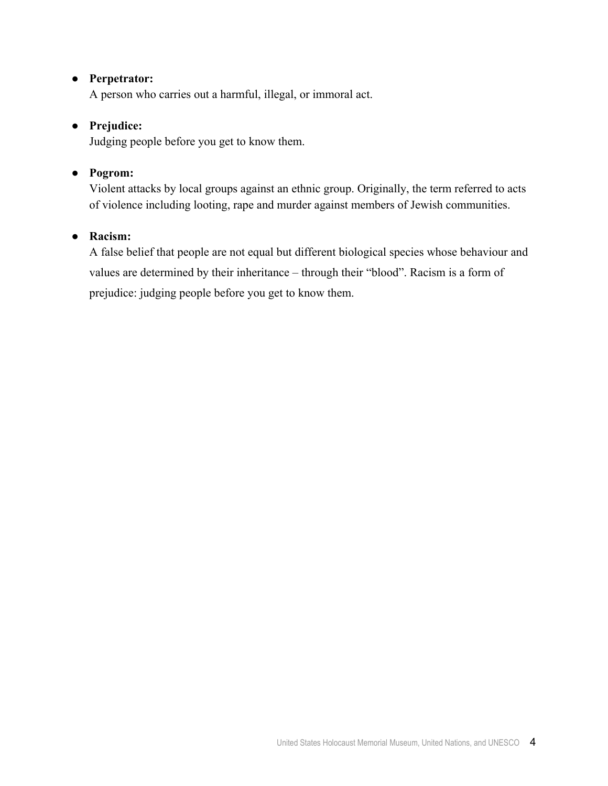#### ● **Perpetrator:**

A person who carries out a harmful, illegal, or immoral act.

#### ● **Prejudice:**

Judging people before you get to know them.

#### ● **Pogrom:**

Violent attacks by local groups against an ethnic group. Originally, the term referred to acts of violence including looting, rape and murder against members of Jewish communities.

#### ● **Racism:**

A false belief that people are not equal but different biological species whose behaviour and values are determined by their inheritance – through their "blood". Racism is a form of prejudice: judging people before you get to know them.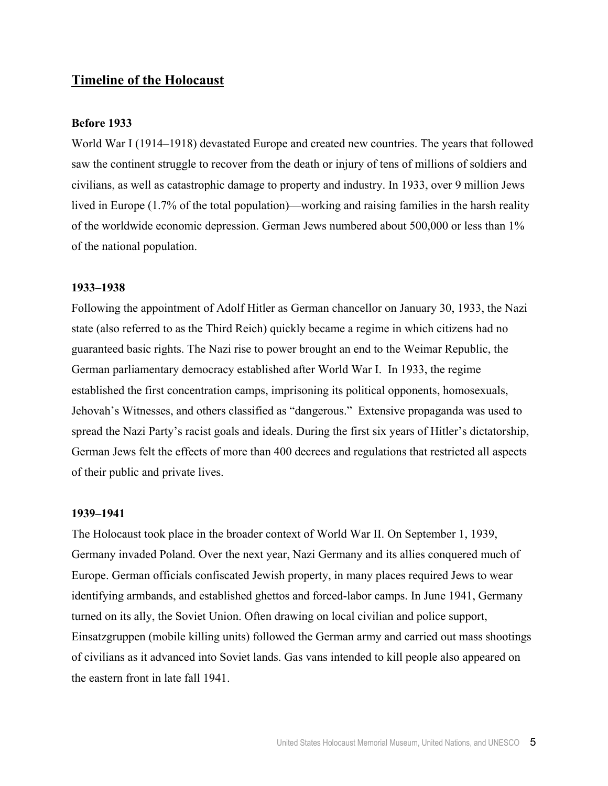#### **Timeline of the Holocaust**

#### **Before 1933**

World War I (1914–1918) devastated Europe and created new countries. The years that followed saw the continent struggle to recover from the death or injury of tens of millions of soldiers and civilians, as well as catastrophic damage to property and industry. In 1933, over 9 million Jews lived in Europe (1.7% of the total population)—working and raising families in the harsh reality of the worldwide economic depression. German Jews numbered about 500,000 or less than 1% of the national population.

#### **1933–1938**

Following the appointment of Adolf Hitler as German chancellor on January 30, 1933, the Nazi state (also referred to as the Third Reich) quickly became a regime in which citizens had no guaranteed basic rights. The Nazi rise to power brought an end to the Weimar Republic, the German parliamentary democracy established after World War I. In 1933, the regime established the first concentration camps, imprisoning its political opponents, homosexuals, Jehovah's Witnesses, and others classified as "dangerous." Extensive propaganda was used to spread the Nazi Party's racist goals and ideals. During the first six years of Hitler's dictatorship, German Jews felt the effects of more than 400 decrees and regulations that restricted all aspects of their public and private lives.

#### **1939–1941**

The Holocaust took place in the broader context of World War II. On September 1, 1939, Germany invaded Poland. Over the next year, Nazi Germany and its allies conquered much of Europe. German officials confiscated Jewish property, in many places required Jews to wear identifying armbands, and established ghettos and forced-labor camps. In June 1941, Germany turned on its ally, the Soviet Union. Often drawing on local civilian and police support, Einsatzgruppen (mobile killing units) followed the German army and carried out mass shootings of civilians as it advanced into Soviet lands. Gas vans intended to kill people also appeared on the eastern front in late fall 1941.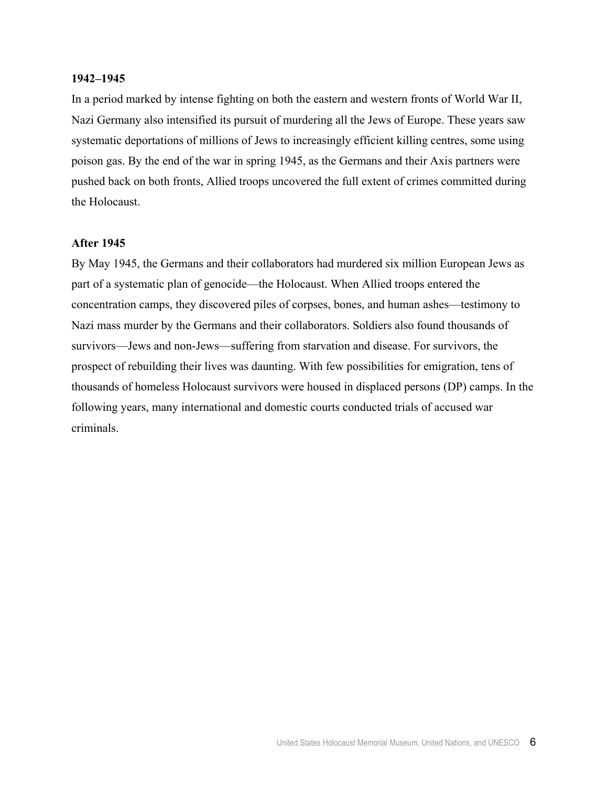#### **1942–1945**

In a period marked by intense fighting on both the eastern and western fronts of World War II, Nazi Germany also intensified its pursuit of murdering all the Jews of Europe. These years saw systematic deportations of millions of Jews to increasingly efficient killing centres, some using poison gas. By the end of the war in spring 1945, as the Germans and their Axis partners were pushed back on both fronts, Allied troops uncovered the full extent of crimes committed during the Holocaust.

#### **After 1945**

By May 1945, the Germans and their collaborators had murdered six million European Jews as part of a systematic plan of genocide—the Holocaust. When Allied troops entered the concentration camps, they discovered piles of corpses, bones, and human ashes—testimony to Nazi mass murder by the Germans and their collaborators. Soldiers also found thousands of survivors—Jews and non-Jews—suffering from starvation and disease. For survivors, the prospect of rebuilding their lives was daunting. With few possibilities for emigration, tens of thousands of homeless Holocaust survivors were housed in displaced persons (DP) camps. In the following years, many international and domestic courts conducted trials of accused war criminals.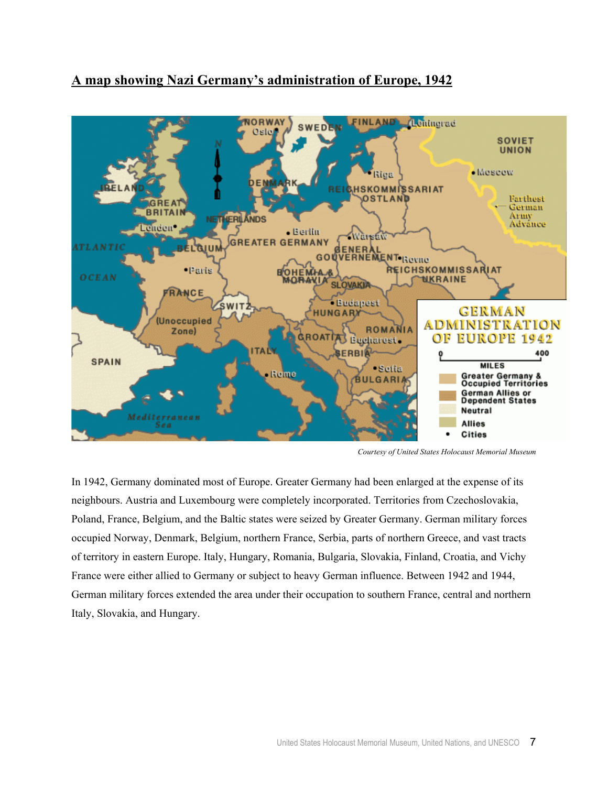



*Courtesy of United States Holocaust Memorial Museum*

In 1942, Germany dominated most of Europe. Greater Germany had been enlarged at the expense of its neighbours. Austria and Luxembourg were completely incorporated. Territories from Czechoslovakia, Poland, France, Belgium, and the Baltic states were seized by Greater Germany. German military forces occupied Norway, Denmark, Belgium, northern France, Serbia, parts of northern Greece, and vast tracts of territory in eastern Europe. Italy, Hungary, Romania, Bulgaria, Slovakia, Finland, Croatia, and Vichy France were either allied to Germany or subject to heavy German influence. Between 1942 and 1944, German military forces extended the area under their occupation to southern France, central and northern Italy, Slovakia, and Hungary.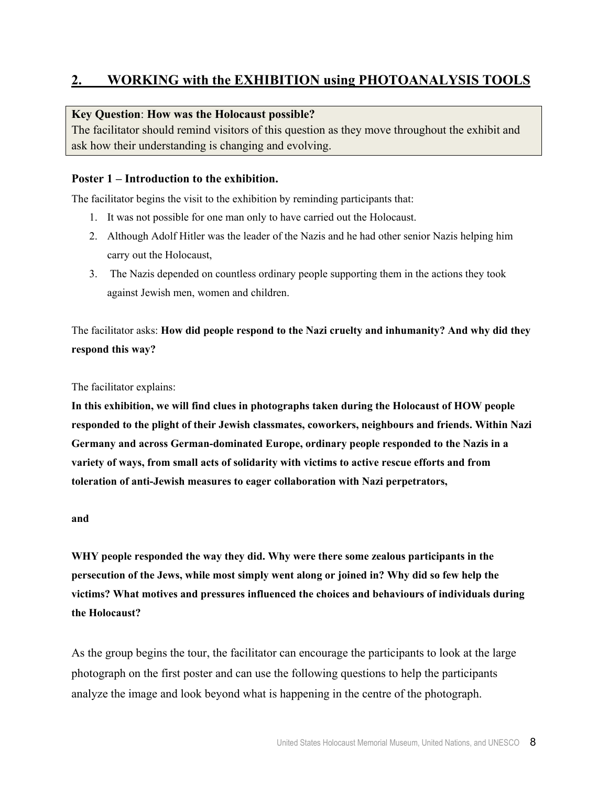## **2. WORKING with the EXHIBITION using PHOTOANALYSIS TOOLS**

#### **Key Question**: **How was the Holocaust possible?**

The facilitator should remind visitors of this question as they move throughout the exhibit and ask how their understanding is changing and evolving.

#### **Poster 1 – Introduction to the exhibition.**

The facilitator begins the visit to the exhibition by reminding participants that:

- 1. It was not possible for one man only to have carried out the Holocaust.
- 2. Although Adolf Hitler was the leader of the Nazis and he had other senior Nazis helping him carry out the Holocaust,
- 3. The Nazis depended on countless ordinary people supporting them in the actions they took against Jewish men, women and children.

The facilitator asks: **How did people respond to the Nazi cruelty and inhumanity? And why did they respond this way?** 

The facilitator explains:

**In this exhibition, we will find clues in photographs taken during the Holocaust of HOW people responded to the plight of their Jewish classmates, coworkers, neighbours and friends. Within Nazi Germany and across German-dominated Europe, ordinary people responded to the Nazis in a variety of ways, from small acts of solidarity with victims to active rescue efforts and from toleration of anti-Jewish measures to eager collaboration with Nazi perpetrators,** 

**and** 

**WHY people responded the way they did. Why were there some zealous participants in the persecution of the Jews, while most simply went along or joined in? Why did so few help the victims? What motives and pressures influenced the choices and behaviours of individuals during the Holocaust?**

As the group begins the tour, the facilitator can encourage the participants to look at the large photograph on the first poster and can use the following questions to help the participants analyze the image and look beyond what is happening in the centre of the photograph.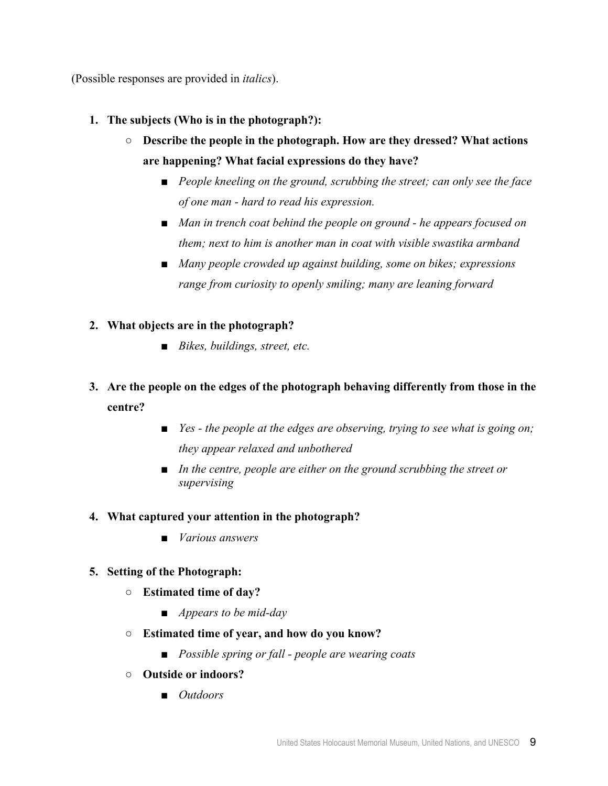(Possible responses are provided in *italics*).

#### **1. The subjects (Who is in the photograph?):**

- **Describe the people in the photograph. How are they dressed? What actions are happening? What facial expressions do they have?** 
	- *People kneeling on the ground, scrubbing the street; can only see the face of one man - hard to read his expression.*
	- *Man in trench coat behind the people on ground he appears focused on them; next to him is another man in coat with visible swastika armband*
	- *Many people crowded up against building, some on bikes; expressions range from curiosity to openly smiling; many are leaning forward*
- **2. What objects are in the photograph?**
	- *Bikes, buildings, street, etc.*
- **3. Are the people on the edges of the photograph behaving differently from those in the centre?**
	- *Yes the people at the edges are observing, trying to see what is going on; they appear relaxed and unbothered*
	- *In the centre, people are either on the ground scrubbing the street or supervising*

#### **4. What captured your attention in the photograph?**

■ *Various answers* 

#### **5. Setting of the Photograph:**

- **Estimated time of day?**
	- *Appears to be mid-day*
- **Estimated time of year, and how do you know?** 
	- *Possible spring or fall people are wearing coats*
- **Outside or indoors?**
	- *Outdoors*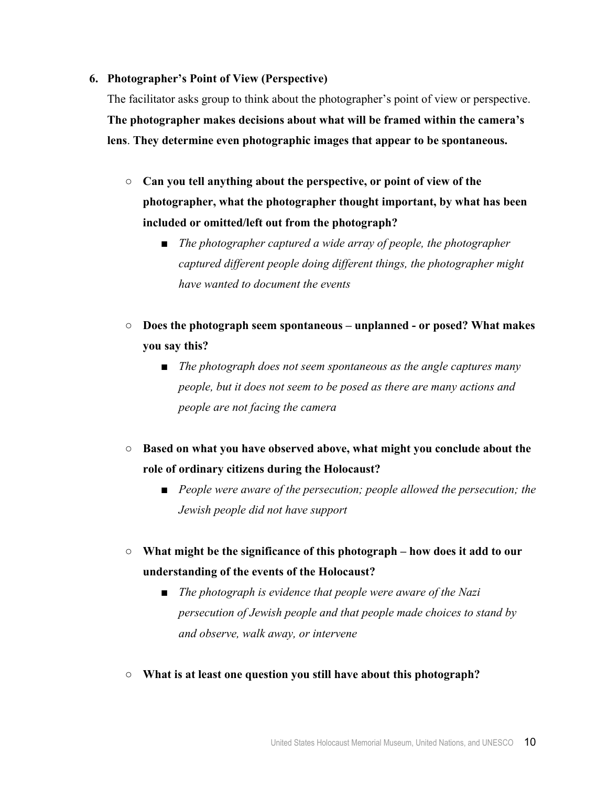#### **6. Photographer's Point of View (Perspective)**

The facilitator asks group to think about the photographer's point of view or perspective. **The photographer makes decisions about what will be framed within the camera's lens**. **They determine even photographic images that appear to be spontaneous.**

- **Can you tell anything about the perspective, or point of view of the photographer, what the photographer thought important, by what has been included or omitted/left out from the photograph?**
	- *The photographer captured a wide array of people, the photographer captured different people doing different things, the photographer might have wanted to document the events*
- **Does the photograph seem spontaneous unplanned or posed? What makes you say this?** 
	- *The photograph does not seem spontaneous as the angle captures many people, but it does not seem to be posed as there are many actions and people are not facing the camera*
- **Based on what you have observed above, what might you conclude about the role of ordinary citizens during the Holocaust?** 
	- People were aware of the persecution; people allowed the persecution; the *Jewish people did not have support*
- **What might be the significance of this photograph how does it add to our understanding of the events of the Holocaust?** 
	- *The photograph is evidence that people were aware of the Nazi persecution of Jewish people and that people made choices to stand by and observe, walk away, or intervene*
- **What is at least one question you still have about this photograph?**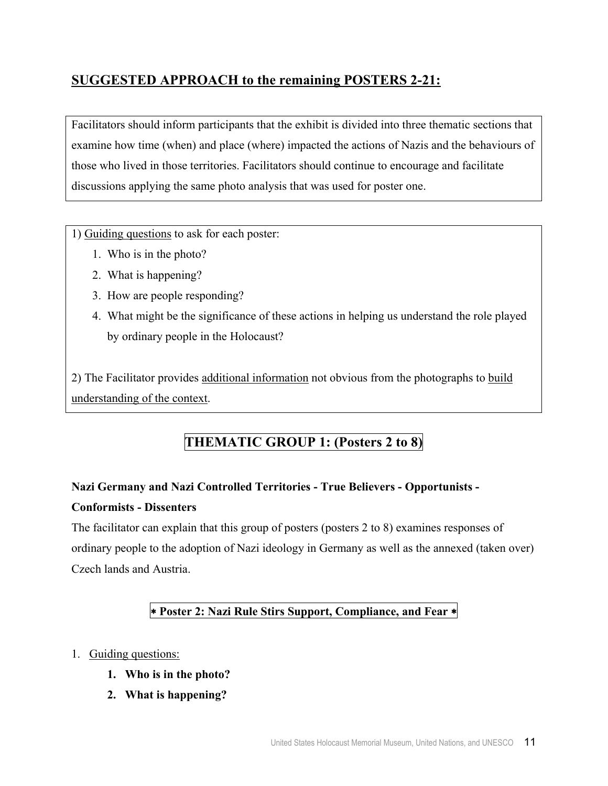## **SUGGESTED APPROACH to the remaining POSTERS 2-21:**

Facilitators should inform participants that the exhibit is divided into three thematic sections that examine how time (when) and place (where) impacted the actions of Nazis and the behaviours of those who lived in those territories. Facilitators should continue to encourage and facilitate discussions applying the same photo analysis that was used for poster one.

1) Guiding questions to ask for each poster:

- 1. Who is in the photo?
- 2. What is happening?
- 3. How are people responding?
- 4. What might be the significance of these actions in helping us understand the role played by ordinary people in the Holocaust?

2) The Facilitator provides additional information not obvious from the photographs to build understanding of the context.

## **THEMATIC GROUP 1: (Posters 2 to 8)**

#### **Nazi Germany and Nazi Controlled Territories - True Believers - Opportunists -**

#### **Conformists - Dissenters**

The facilitator can explain that this group of posters (posters 2 to 8) examines responses of ordinary people to the adoption of Nazi ideology in Germany as well as the annexed (taken over) Czech lands and Austria.

#### ∗ **Poster 2: Nazi Rule Stirs Support, Compliance, and Fear** ∗

- 1. Guiding questions:
	- **1. Who is in the photo?**
	- **2. What is happening?**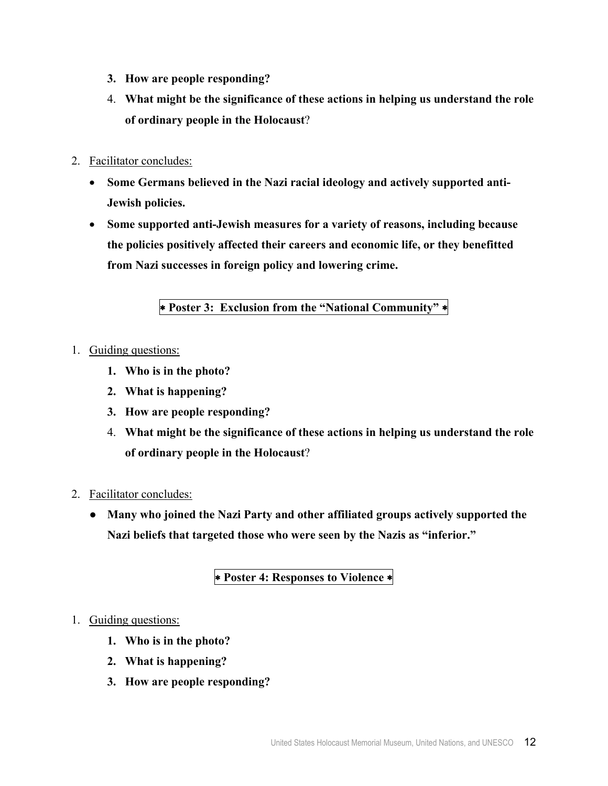- **3. How are people responding?**
- 4. **What might be the significance of these actions in helping us understand the role of ordinary people in the Holocaust**?
- 2. Facilitator concludes:
	- **Some Germans believed in the Nazi racial ideology and actively supported anti-Jewish policies.**
	- **Some supported anti-Jewish measures for a variety of reasons, including because the policies positively affected their careers and economic life, or they benefitted from Nazi successes in foreign policy and lowering crime.**

#### ∗ **Poster 3: Exclusion from the "National Community"** ∗

- 1. Guiding questions:
	- **1. Who is in the photo?**
	- **2. What is happening?**
	- **3. How are people responding?**
	- 4. **What might be the significance of these actions in helping us understand the role of ordinary people in the Holocaust**?
- 2. Facilitator concludes:
	- **Many who joined the Nazi Party and other affiliated groups actively supported the Nazi beliefs that targeted those who were seen by the Nazis as "inferior."**

#### ∗ **Poster 4: Responses to Violence** ∗

- 1. Guiding questions:
	- **1. Who is in the photo?**
	- **2. What is happening?**
	- **3. How are people responding?**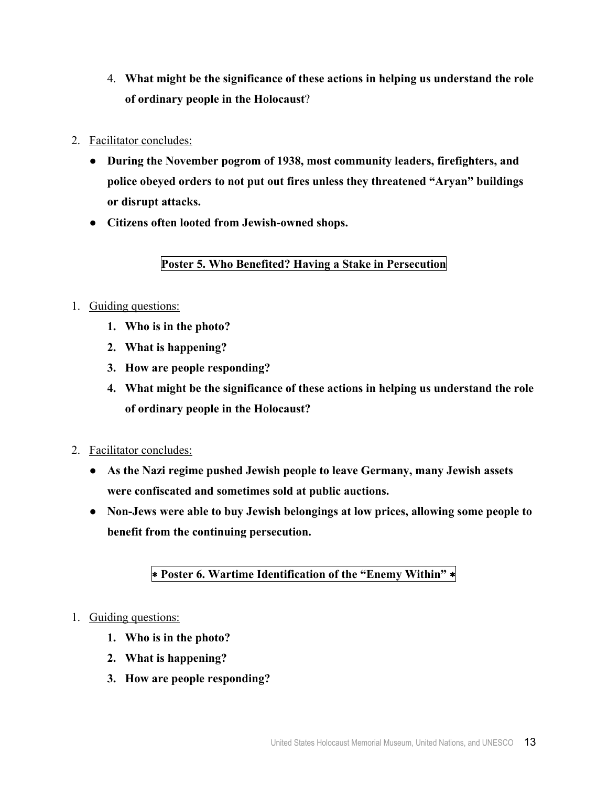- 4. **What might be the significance of these actions in helping us understand the role of ordinary people in the Holocaust**?
- 2. Facilitator concludes:
	- **During the November pogrom of 1938, most community leaders, firefighters, and police obeyed orders to not put out fires unless they threatened "Aryan" buildings or disrupt attacks.**
	- **Citizens often looted from Jewish-owned shops.**

#### **Poster 5. Who Benefited? Having a Stake in Persecution**

- 1. Guiding questions:
	- **1. Who is in the photo?**
	- **2. What is happening?**
	- **3. How are people responding?**
	- **4. What might be the significance of these actions in helping us understand the role of ordinary people in the Holocaust?**
- 2. Facilitator concludes:
	- **As the Nazi regime pushed Jewish people to leave Germany, many Jewish assets were confiscated and sometimes sold at public auctions.**
	- **Non-Jews were able to buy Jewish belongings at low prices, allowing some people to benefit from the continuing persecution.**

#### ∗ **Poster 6. Wartime Identification of the "Enemy Within"** ∗

#### 1. Guiding questions:

- **1. Who is in the photo?**
- **2. What is happening?**
- **3. How are people responding?**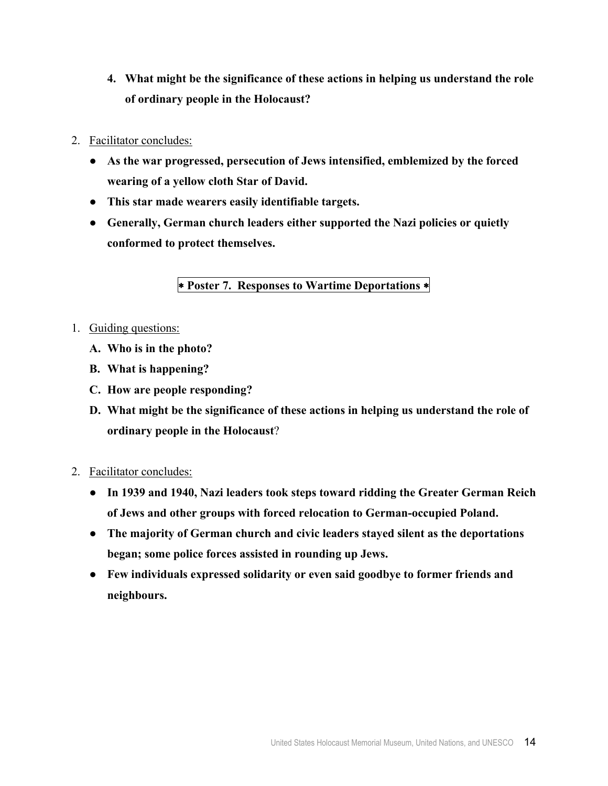- **4. What might be the significance of these actions in helping us understand the role of ordinary people in the Holocaust?**
- 2. Facilitator concludes:
	- **As the war progressed, persecution of Jews intensified, emblemized by the forced wearing of a yellow cloth Star of David.**
	- **This star made wearers easily identifiable targets.**
	- **Generally, German church leaders either supported the Nazi policies or quietly conformed to protect themselves.**

∗ **Poster 7. Responses to Wartime Deportations** ∗

- 1. Guiding questions:
	- **A. Who is in the photo?**
	- **B. What is happening?**
	- **C. How are people responding?**
	- **D. What might be the significance of these actions in helping us understand the role of ordinary people in the Holocaust**?
- 2. Facilitator concludes:
	- **In 1939 and 1940, Nazi leaders took steps toward ridding the Greater German Reich of Jews and other groups with forced relocation to German-occupied Poland.**
	- **The majority of German church and civic leaders stayed silent as the deportations began; some police forces assisted in rounding up Jews.**
	- **Few individuals expressed solidarity or even said goodbye to former friends and neighbours.**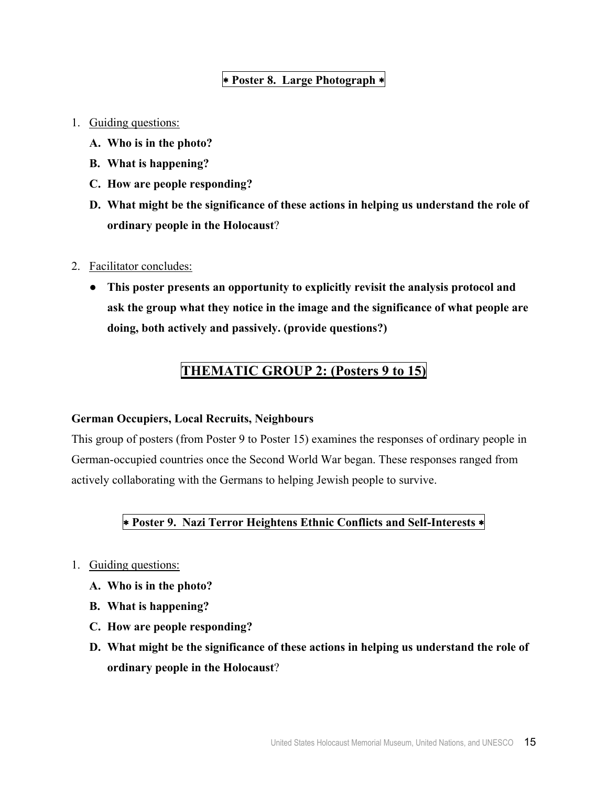#### ∗ **Poster 8. Large Photograph** ∗

- 1. Guiding questions:
	- **A. Who is in the photo?**
	- **B. What is happening?**
	- **C. How are people responding?**
	- **D. What might be the significance of these actions in helping us understand the role of ordinary people in the Holocaust**?
- 2. Facilitator concludes:
	- **This poster presents an opportunity to explicitly revisit the analysis protocol and ask the group what they notice in the image and the significance of what people are doing, both actively and passively. (provide questions?)**

#### **THEMATIC GROUP 2: (Posters 9 to 15)**

#### **German Occupiers, Local Recruits, Neighbours**

This group of posters (from Poster 9 to Poster 15) examines the responses of ordinary people in German-occupied countries once the Second World War began. These responses ranged from actively collaborating with the Germans to helping Jewish people to survive.

#### ∗ **Poster 9. Nazi Terror Heightens Ethnic Conflicts and Self-Interests** ∗

- 1. Guiding questions:
	- **A. Who is in the photo?**
	- **B. What is happening?**
	- **C. How are people responding?**
	- **D. What might be the significance of these actions in helping us understand the role of ordinary people in the Holocaust**?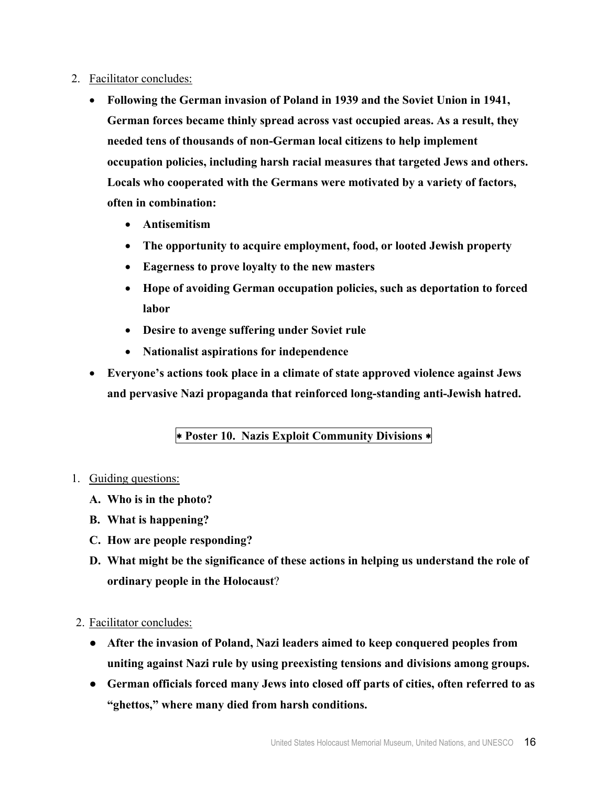- 2. Facilitator concludes:
	- **Following the German invasion of Poland in 1939 and the Soviet Union in 1941, German forces became thinly spread across vast occupied areas. As a result, they needed tens of thousands of non-German local citizens to help implement occupation policies, including harsh racial measures that targeted Jews and others. Locals who cooperated with the Germans were motivated by a variety of factors, often in combination:**
		- **Antisemitism**
		- **The opportunity to acquire employment, food, or looted Jewish property**
		- **Eagerness to prove loyalty to the new masters**
		- **Hope of avoiding German occupation policies, such as deportation to forced labor**
		- **Desire to avenge suffering under Soviet rule**
		- **Nationalist aspirations for independence**
	- **Everyone's actions took place in a climate of state approved violence against Jews and pervasive Nazi propaganda that reinforced long-standing anti-Jewish hatred.**

#### ∗ **Poster 10. Nazis Exploit Community Divisions** ∗

#### 1. Guiding questions:

- **A. Who is in the photo?**
- **B. What is happening?**
- **C. How are people responding?**
- **D. What might be the significance of these actions in helping us understand the role of ordinary people in the Holocaust**?

#### 2. Facilitator concludes:

- **After the invasion of Poland, Nazi leaders aimed to keep conquered peoples from uniting against Nazi rule by using preexisting tensions and divisions among groups.**
- **German officials forced many Jews into closed off parts of cities, often referred to as "ghettos," where many died from harsh conditions.**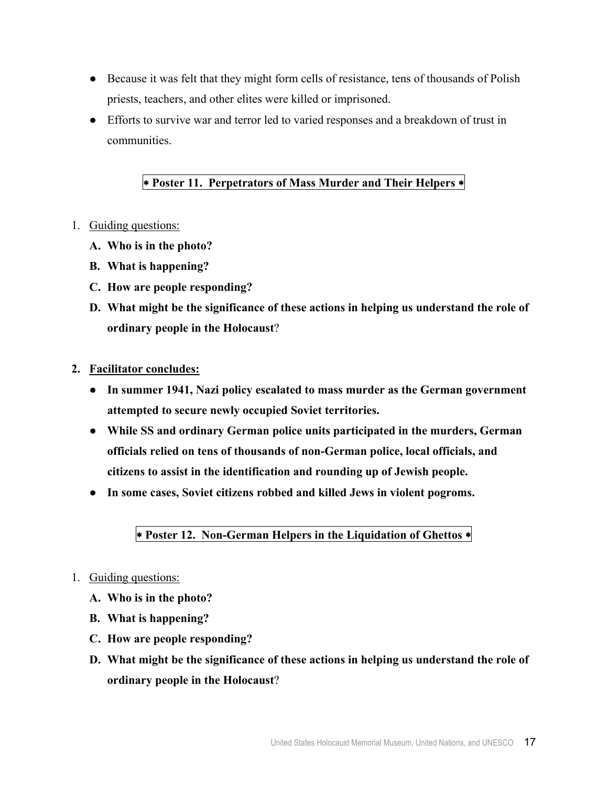- Because it was felt that they might form cells of resistance, tens of thousands of Polish priests, teachers, and other elites were killed or imprisoned.
- Efforts to survive war and terror led to varied responses and a breakdown of trust in communities.

#### ∗ **Poster 11. Perpetrators of Mass Murder and Their Helpers** ∗

- 1. Guiding questions:
	- **A. Who is in the photo?**
	- **B. What is happening?**
	- **C. How are people responding?**
	- **D. What might be the significance of these actions in helping us understand the role of ordinary people in the Holocaust**?

#### **2. Facilitator concludes:**

- **In summer 1941, Nazi policy escalated to mass murder as the German government attempted to secure newly occupied Soviet territories.**
- **While SS and ordinary German police units participated in the murders, German officials relied on tens of thousands of non-German police, local officials, and citizens to assist in the identification and rounding up of Jewish people.**
- **In some cases, Soviet citizens robbed and killed Jews in violent pogroms.**

#### ∗ **Poster 12. Non-German Helpers in the Liquidation of Ghettos** ∗

- 1. Guiding questions:
	- **A. Who is in the photo?**
	- **B. What is happening?**
	- **C. How are people responding?**
	- **D. What might be the significance of these actions in helping us understand the role of ordinary people in the Holocaust**?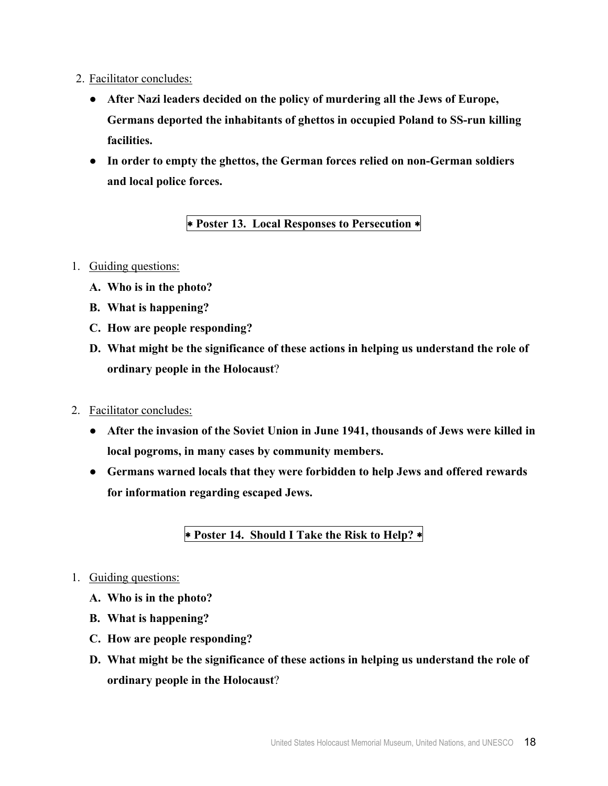- 2. Facilitator concludes:
	- **After Nazi leaders decided on the policy of murdering all the Jews of Europe, Germans deported the inhabitants of ghettos in occupied Poland to SS-run killing facilities.**
	- **In order to empty the ghettos, the German forces relied on non-German soldiers and local police forces.**

#### ∗ **Poster 13. Local Responses to Persecution** ∗

#### 1. Guiding questions:

- **A. Who is in the photo?**
- **B. What is happening?**
- **C. How are people responding?**
- **D. What might be the significance of these actions in helping us understand the role of ordinary people in the Holocaust**?
- 2. Facilitator concludes:
	- **After the invasion of the Soviet Union in June 1941, thousands of Jews were killed in local pogroms, in many cases by community members.**
	- **Germans warned locals that they were forbidden to help Jews and offered rewards for information regarding escaped Jews.**

#### ∗ **Poster 14. Should I Take the Risk to Help?** ∗

- 1. Guiding questions:
	- **A. Who is in the photo?**
	- **B. What is happening?**
	- **C. How are people responding?**
	- **D. What might be the significance of these actions in helping us understand the role of ordinary people in the Holocaust**?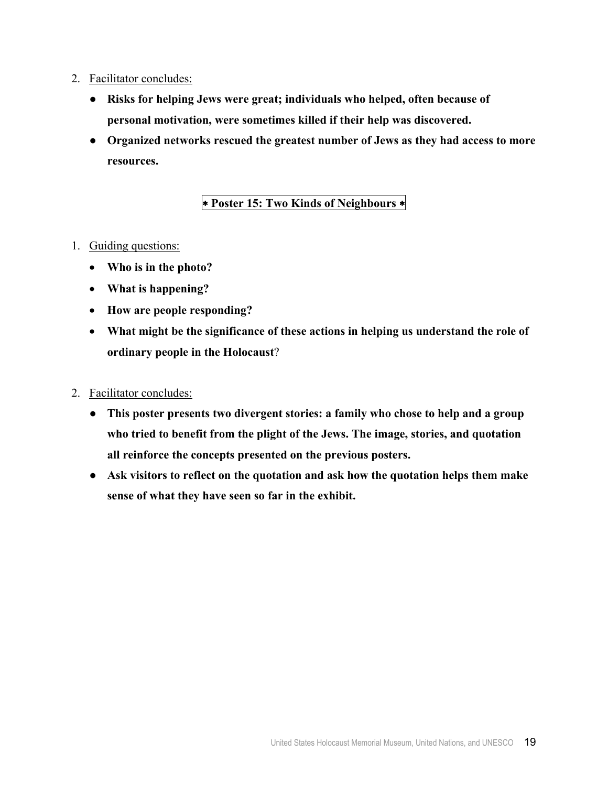- 2. Facilitator concludes:
	- **Risks for helping Jews were great; individuals who helped, often because of personal motivation, were sometimes killed if their help was discovered.**
	- **Organized networks rescued the greatest number of Jews as they had access to more resources.**

#### ∗ **Poster 15: Two Kinds of Neighbours** ∗

- 1. Guiding questions:
	- **Who is in the photo?**
	- **What is happening?**
	- **How are people responding?**
	- **What might be the significance of these actions in helping us understand the role of ordinary people in the Holocaust**?

#### 2. Facilitator concludes:

- **This poster presents two divergent stories: a family who chose to help and a group who tried to benefit from the plight of the Jews. The image, stories, and quotation all reinforce the concepts presented on the previous posters.**
- **Ask visitors to reflect on the quotation and ask how the quotation helps them make sense of what they have seen so far in the exhibit.**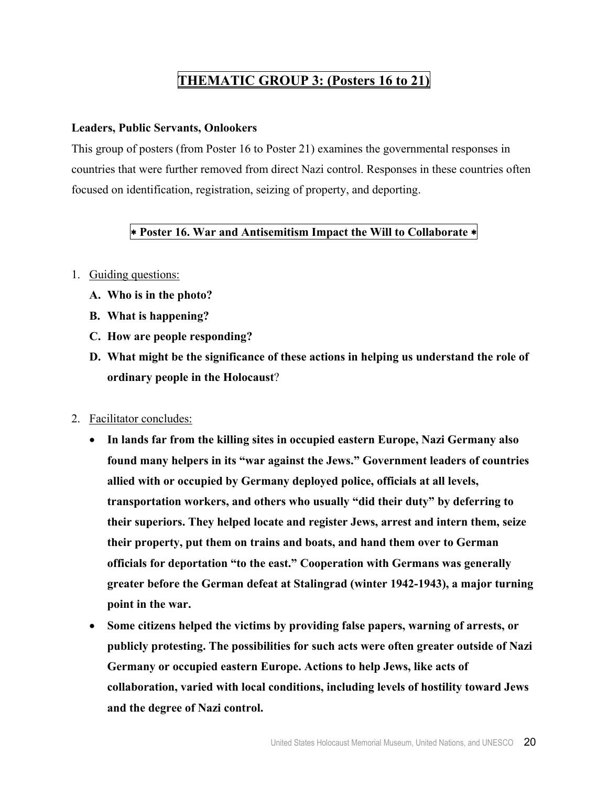## **THEMATIC GROUP 3: (Posters 16 to 21)**

#### **Leaders, Public Servants, Onlookers**

This group of posters (from Poster 16 to Poster 21) examines the governmental responses in countries that were further removed from direct Nazi control. Responses in these countries often focused on identification, registration, seizing of property, and deporting.

#### ∗ **Poster 16. War and Antisemitism Impact the Will to Collaborate** ∗

- 1. Guiding questions:
	- **A. Who is in the photo?**
	- **B. What is happening?**
	- **C. How are people responding?**
	- **D. What might be the significance of these actions in helping us understand the role of ordinary people in the Holocaust**?
- 2. Facilitator concludes:
	- **In lands far from the killing sites in occupied eastern Europe, Nazi Germany also found many helpers in its "war against the Jews." Government leaders of countries allied with or occupied by Germany deployed police, officials at all levels, transportation workers, and others who usually "did their duty" by deferring to their superiors. They helped locate and register Jews, arrest and intern them, seize their property, put them on trains and boats, and hand them over to German officials for deportation "to the east." Cooperation with Germans was generally greater before the German defeat at Stalingrad (winter 1942-1943), a major turning point in the war.**
	- **Some citizens helped the victims by providing false papers, warning of arrests, or publicly protesting. The possibilities for such acts were often greater outside of Nazi Germany or occupied eastern Europe. Actions to help Jews, like acts of collaboration, varied with local conditions, including levels of hostility toward Jews and the degree of Nazi control.**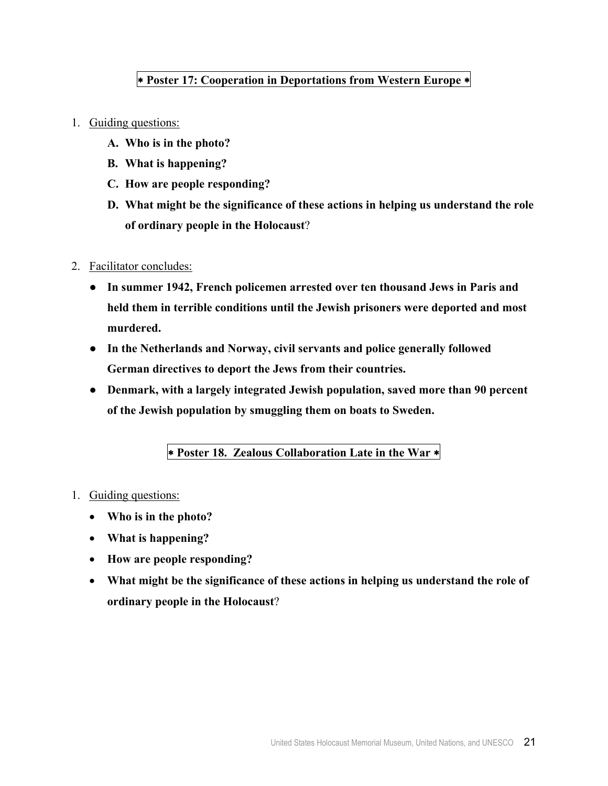#### ∗ **Poster 17: Cooperation in Deportations from Western Europe** ∗

- 1. Guiding questions:
	- **A. Who is in the photo?**
	- **B. What is happening?**
	- **C. How are people responding?**
	- **D. What might be the significance of these actions in helping us understand the role of ordinary people in the Holocaust**?
- 2. Facilitator concludes:
	- **In summer 1942, French policemen arrested over ten thousand Jews in Paris and held them in terrible conditions until the Jewish prisoners were deported and most murdered.**
	- **In the Netherlands and Norway, civil servants and police generally followed German directives to deport the Jews from their countries.**
	- **Denmark, with a largely integrated Jewish population, saved more than 90 percent of the Jewish population by smuggling them on boats to Sweden.**

#### ∗ **Poster 18. Zealous Collaboration Late in the War** ∗

- 1. Guiding questions:
	- **Who is in the photo?**
	- **What is happening?**
	- **How are people responding?**
	- **What might be the significance of these actions in helping us understand the role of ordinary people in the Holocaust**?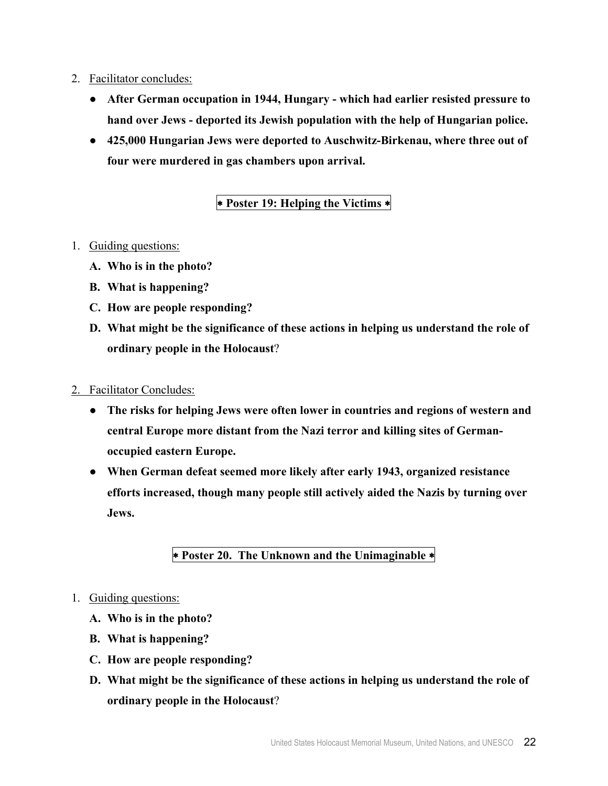- 2. Facilitator concludes:
	- **After German occupation in 1944, Hungary which had earlier resisted pressure to hand over Jews - deported its Jewish population with the help of Hungarian police.**
	- **425,000 Hungarian Jews were deported to Auschwitz-Birkenau, where three out of four were murdered in gas chambers upon arrival.**

### ∗ **Poster 19: Helping the Victims** ∗

- 1. Guiding questions:
	- **A. Who is in the photo?**
	- **B. What is happening?**
	- **C. How are people responding?**
	- **D. What might be the significance of these actions in helping us understand the role of ordinary people in the Holocaust**?
- 2. Facilitator Concludes:
	- **The risks for helping Jews were often lower in countries and regions of western and central Europe more distant from the Nazi terror and killing sites of Germanoccupied eastern Europe.**
	- **When German defeat seemed more likely after early 1943, organized resistance efforts increased, though many people still actively aided the Nazis by turning over Jews.**

#### ∗ **Poster 20. The Unknown and the Unimaginable** ∗

#### 1. Guiding questions:

- **A. Who is in the photo?**
- **B. What is happening?**
- **C. How are people responding?**
- **D. What might be the significance of these actions in helping us understand the role of ordinary people in the Holocaust**?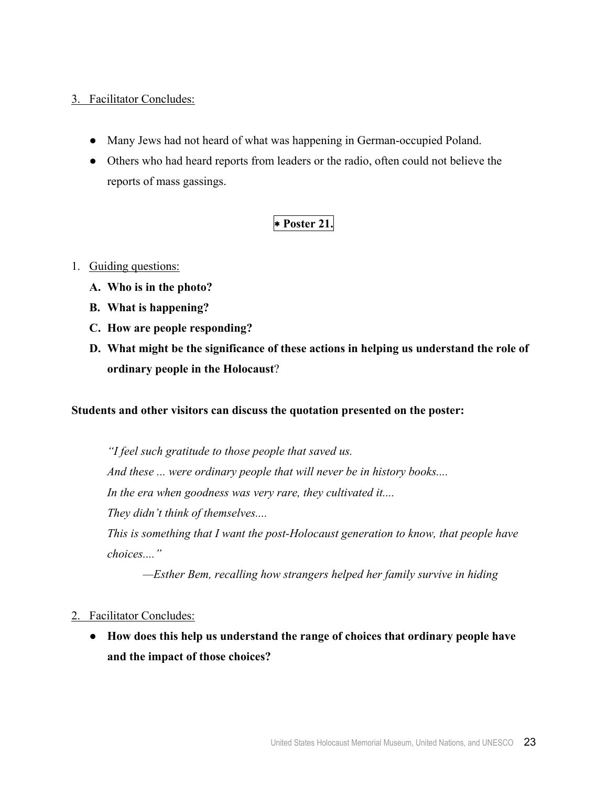#### 3. Facilitator Concludes:

- Many Jews had not heard of what was happening in German-occupied Poland.
- Others who had heard reports from leaders or the radio, often could not believe the reports of mass gassings.

#### ∗ **Poster 21.**

#### 1. Guiding questions:

- **A. Who is in the photo?**
- **B. What is happening?**
- **C. How are people responding?**
- **D. What might be the significance of these actions in helping us understand the role of ordinary people in the Holocaust**?

#### **Students and other visitors can discuss the quotation presented on the poster:**

*"I feel such gratitude to those people that saved us. And these ... were ordinary people that will never be in history books.... In the era when goodness was very rare, they cultivated it.... They didn't think of themselves.... This is something that I want the post-Holocaust generation to know, that people have choices...."* 

*—Esther Bem, recalling how strangers helped her family survive in hiding* 

#### 2. Facilitator Concludes:

● **How does this help us understand the range of choices that ordinary people have and the impact of those choices?**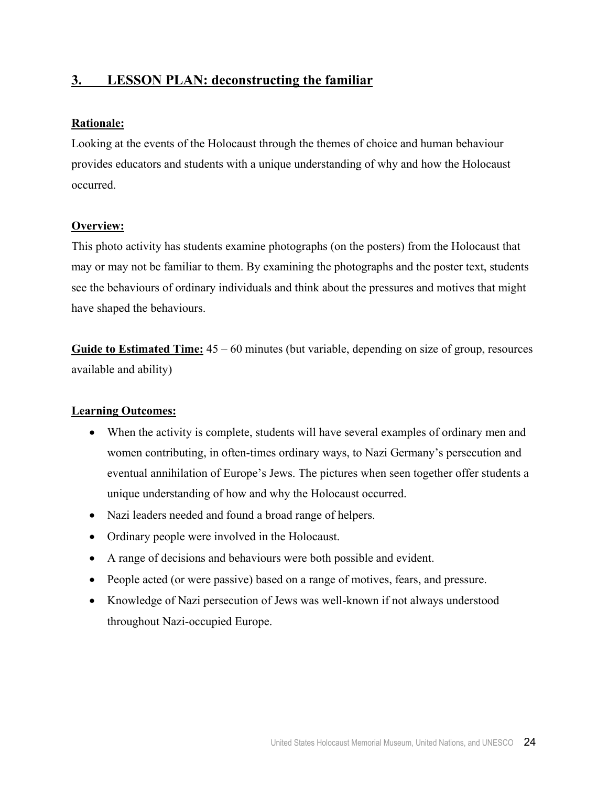### **3. LESSON PLAN: deconstructing the familiar**

#### **Rationale:**

Looking at the events of the Holocaust through the themes of choice and human behaviour provides educators and students with a unique understanding of why and how the Holocaust occurred.

#### **Overview:**

This photo activity has students examine photographs (on the posters) from the Holocaust that may or may not be familiar to them. By examining the photographs and the poster text, students see the behaviours of ordinary individuals and think about the pressures and motives that might have shaped the behaviours.

**Guide to Estimated Time:** 45 – 60 minutes (but variable, depending on size of group, resources available and ability)

#### **Learning Outcomes:**

- When the activity is complete, students will have several examples of ordinary men and women contributing, in often-times ordinary ways, to Nazi Germany's persecution and eventual annihilation of Europe's Jews. The pictures when seen together offer students a unique understanding of how and why the Holocaust occurred.
- Nazi leaders needed and found a broad range of helpers.
- Ordinary people were involved in the Holocaust.
- A range of decisions and behaviours were both possible and evident.
- People acted (or were passive) based on a range of motives, fears, and pressure.
- Knowledge of Nazi persecution of Jews was well-known if not always understood throughout Nazi-occupied Europe.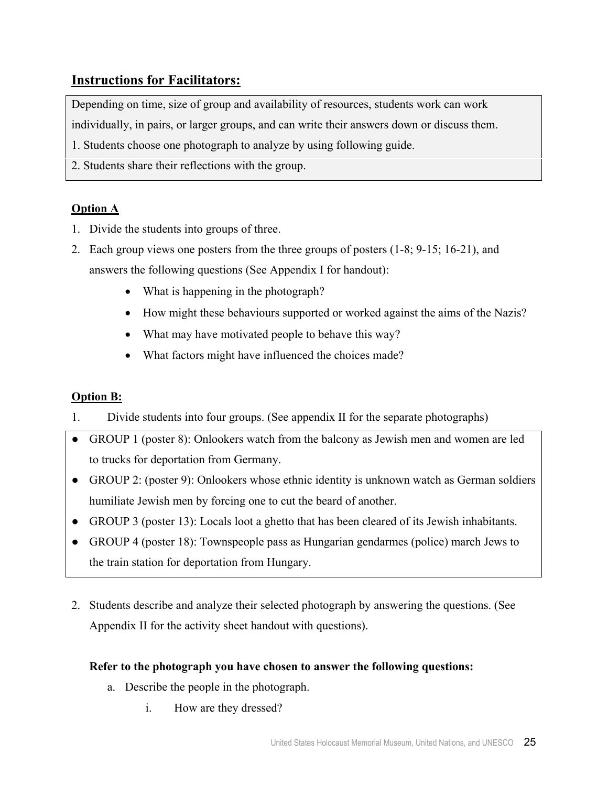## **Instructions for Facilitators:**

Depending on time, size of group and availability of resources, students work can work

individually, in pairs, or larger groups, and can write their answers down or discuss them.

- 1. Students choose one photograph to analyze by using following guide.
- 2. Students share their reflections with the group.

#### **Option A**

- 1. Divide the students into groups of three.
- 2. Each group views one posters from the three groups of posters (1-8; 9-15; 16-21), and answers the following questions (See Appendix I for handout):
	- What is happening in the photograph?
	- How might these behaviours supported or worked against the aims of the Nazis?
	- What may have motivated people to behave this way?
	- What factors might have influenced the choices made?

#### **Option B:**

- 1. Divide students into four groups. (See appendix II for the separate photographs)
- GROUP 1 (poster 8): Onlookers watch from the balcony as Jewish men and women are led to trucks for deportation from Germany.
- GROUP 2: (poster 9): Onlookers whose ethnic identity is unknown watch as German soldiers humiliate Jewish men by forcing one to cut the beard of another.
- GROUP 3 (poster 13): Locals loot a ghetto that has been cleared of its Jewish inhabitants.
- GROUP 4 (poster 18): Townspeople pass as Hungarian gendarmes (police) march Jews to the train station for deportation from Hungary.
- 2. Students describe and analyze their selected photograph by answering the questions. (See Appendix II for the activity sheet handout with questions).

#### **Refer to the photograph you have chosen to answer the following questions:**

- a. Describe the people in the photograph.
	- i. How are they dressed?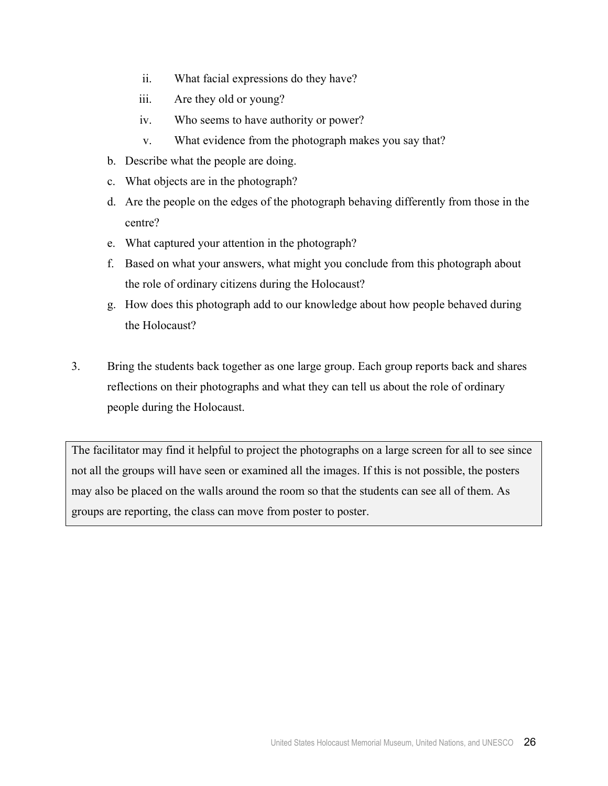- ii. What facial expressions do they have?
- iii. Are they old or young?
- iv. Who seems to have authority or power?
- v. What evidence from the photograph makes you say that?
- b. Describe what the people are doing.
- c. What objects are in the photograph?
- d. Are the people on the edges of the photograph behaving differently from those in the centre?
- e. What captured your attention in the photograph?
- f. Based on what your answers, what might you conclude from this photograph about the role of ordinary citizens during the Holocaust?
- g. How does this photograph add to our knowledge about how people behaved during the Holocaust?
- 3. Bring the students back together as one large group. Each group reports back and shares reflections on their photographs and what they can tell us about the role of ordinary people during the Holocaust.

The facilitator may find it helpful to project the photographs on a large screen for all to see since not all the groups will have seen or examined all the images. If this is not possible, the posters may also be placed on the walls around the room so that the students can see all of them. As groups are reporting, the class can move from poster to poster.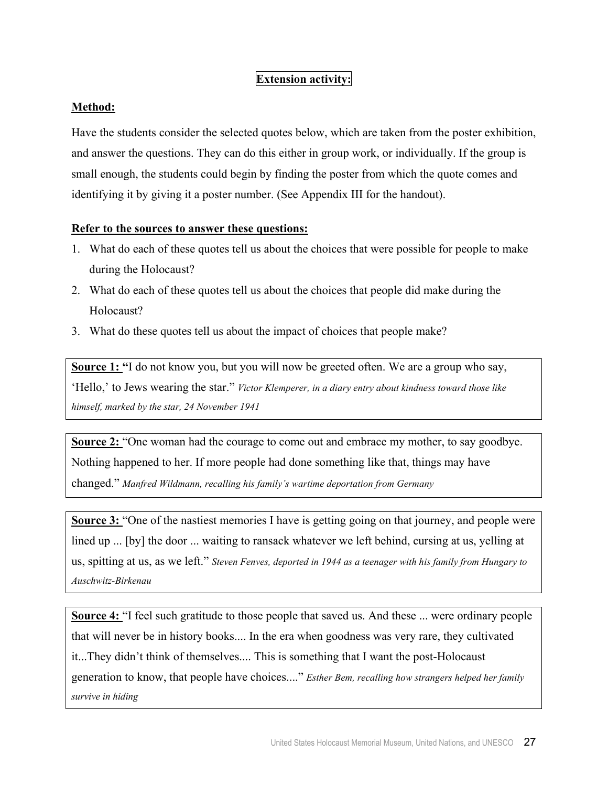#### **Extension activity:**

#### **Method:**

Have the students consider the selected quotes below, which are taken from the poster exhibition, and answer the questions. They can do this either in group work, or individually. If the group is small enough, the students could begin by finding the poster from which the quote comes and identifying it by giving it a poster number. (See Appendix III for the handout).

#### **Refer to the sources to answer these questions:**

- 1. What do each of these quotes tell us about the choices that were possible for people to make during the Holocaust?
- 2. What do each of these quotes tell us about the choices that people did make during the Holocaust?
- 3. What do these quotes tell us about the impact of choices that people make?

**Source 1: "**I do not know you, but you will now be greeted often. We are a group who say, 'Hello,' to Jews wearing the star." *Victor Klemperer, in a diary entry about kindness toward those like himself, marked by the star, 24 November 1941*

**Source 2:** "One woman had the courage to come out and embrace my mother, to say goodbye. Nothing happened to her. If more people had done something like that, things may have changed." *Manfred Wildmann, recalling his family's wartime deportation from Germany*

**Source 3:** "One of the nastiest memories I have is getting going on that journey, and people were lined up ... [by] the door ... waiting to ransack whatever we left behind, cursing at us, yelling at us, spitting at us, as we left." *Steven Fenves, deported in 1944 as a teenager with his family from Hungary to Auschwitz-Birkenau* 

**Source 4:** "I feel such gratitude to those people that saved us. And these ... were ordinary people that will never be in history books.... In the era when goodness was very rare, they cultivated it...They didn't think of themselves.... This is something that I want the post-Holocaust generation to know, that people have choices...." *Esther Bem, recalling how strangers helped her family survive in hiding*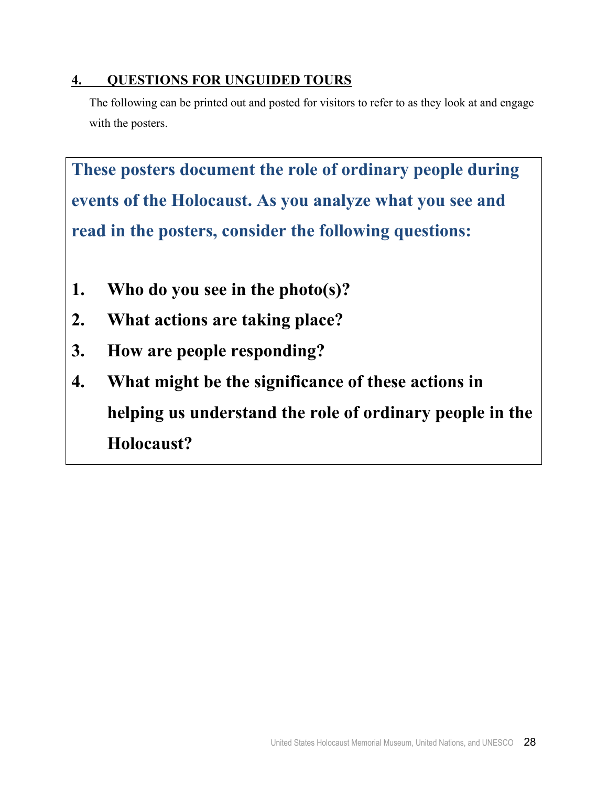## **4. QUESTIONS FOR UNGUIDED TOURS**

The following can be printed out and posted for visitors to refer to as they look at and engage with the posters.

**These posters document the role of ordinary people during events of the Holocaust. As you analyze what you see and read in the posters, consider the following questions:** 

- **1. Who do you see in the photo(s)?**
- **2. What actions are taking place?**
- **3. How are people responding?**
- **4. What might be the significance of these actions in helping us understand the role of ordinary people in the Holocaust?**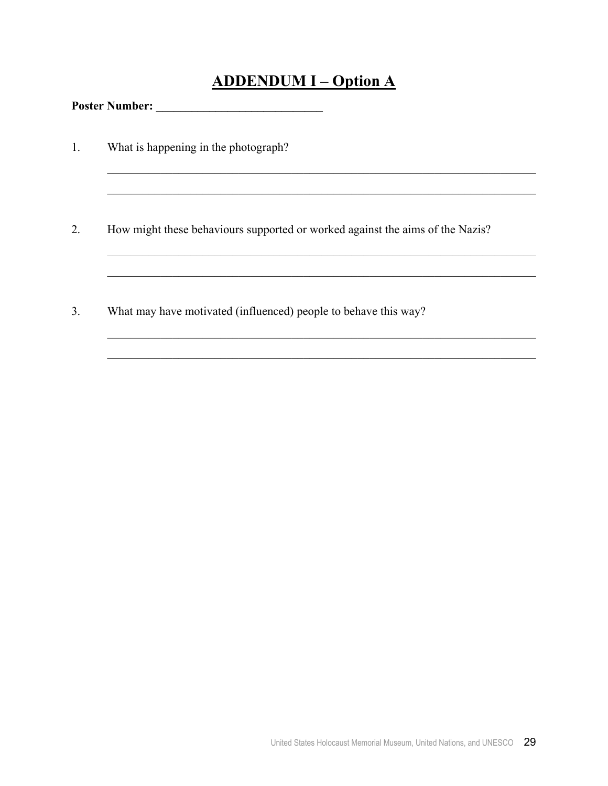## **ADDENDUM I – Option A**

 $\mathcal{L}_\text{G}$  , and the contribution of the contribution of the contribution of the contribution of the contribution of the contribution of the contribution of the contribution of the contribution of the contribution of t

 $\mathcal{L}_\text{G}$  , and the contribution of the contribution of the contribution of the contribution of the contribution of the contribution of the contribution of the contribution of the contribution of the contribution of t

 $\mathcal{L}_\text{G}$  , and the contribution of the contribution of the contribution of the contribution of the contribution of the contribution of the contribution of the contribution of the contribution of the contribution of t

 $\mathcal{L}_\text{G}$  , and the contribution of the contribution of the contribution of the contribution of the contribution of the contribution of the contribution of the contribution of the contribution of the contribution of t

**Poster Number: \_\_\_\_\_\_\_\_\_\_\_\_\_\_\_\_\_\_\_\_\_\_\_\_\_\_\_\_** 

- 1. What is happening in the photograph?
- 2. How might these behaviours supported or worked against the aims of the Nazis?
- 3. What may have motivated (influenced) people to behave this way?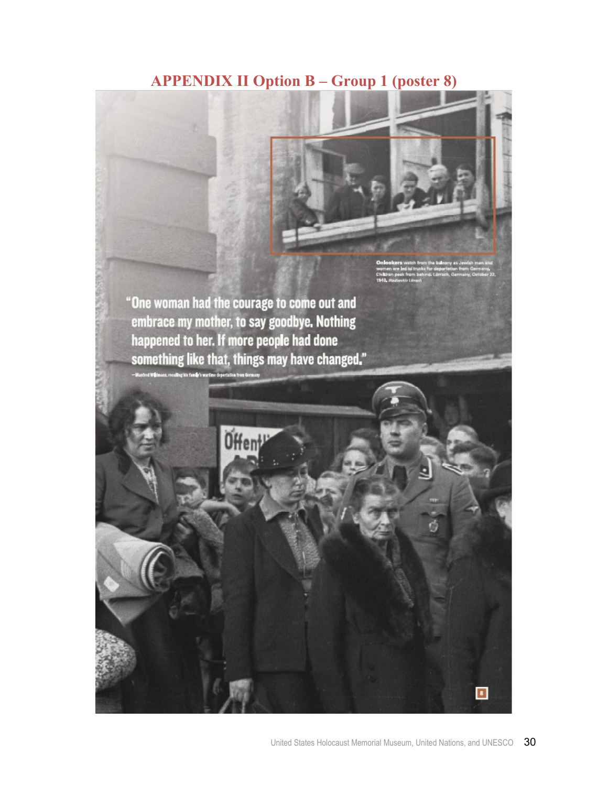## **APPENDIX II Option B – Group 1 (poster 8)**



"One woman had the courage to come out and embrace my mother, to say goodbye. Nothing happened to her. If more people had done something like that, things may have changed."

**Offen** 

 $\boxed{8}$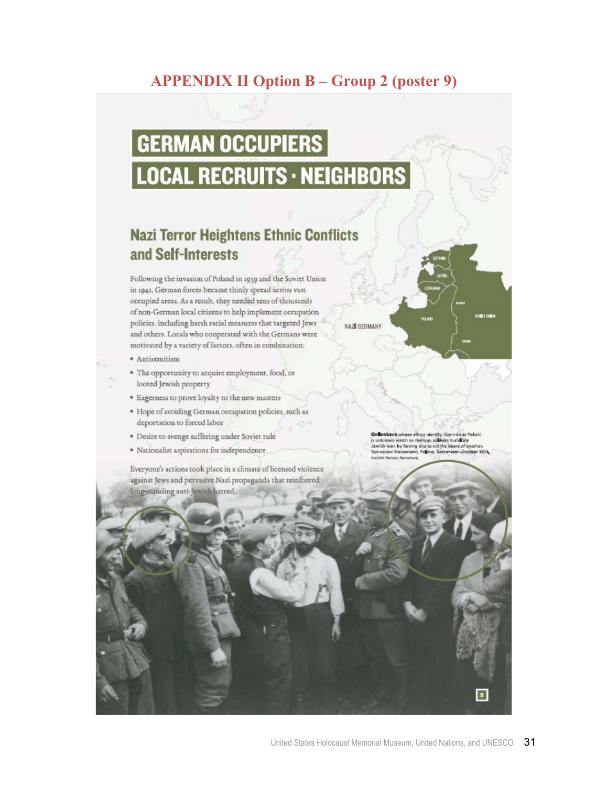## **APPENDIX II Option B – Group 2 (poster 9)**

# **GERMAN OCCUPIERS LOCAL RECRUITS · NEIGHBORS**

## **Nazi Terror Heightens Ethnic Conflicts** and Self-Interests

Following the invasion of Poland in 1939 and the Soviet Union in 1941, German forces became thinly spread across vast occupied areas. As a result, they needed tens of thousands of non-German local citizens to help implement occupation policies, including harsh racial measures that targeted Jews and others. Locals who cooperated with the Germans were motivated by a variety of factors, often in combination:

- · Antisemitism
- · The opportunity to acquire employment, food, or looted Jewish property
- · Eagerness to prove loyalty to the new masters
- · Hope of avoiding German occupation policies, such as deportation to forced labor
- · Desire to avenge suffering under Soviet rule
- · Nationalist aspirations for independence

Everyone's actions took place in a climate of licensed violence against Jews and pervasive Nazi propaganda that reinforced long-standing anti-Jewish hatred.

Onllookers whose ethnic identity (German or Polish)<br>Is unknown watch as German seldiers humillate<br>Jewish men by foreing one to evit the beard of another<br>Tomasow Mazowieck, Policy, Sectember-Ociober 1 **Aug-1919** 

NAZI GERMANY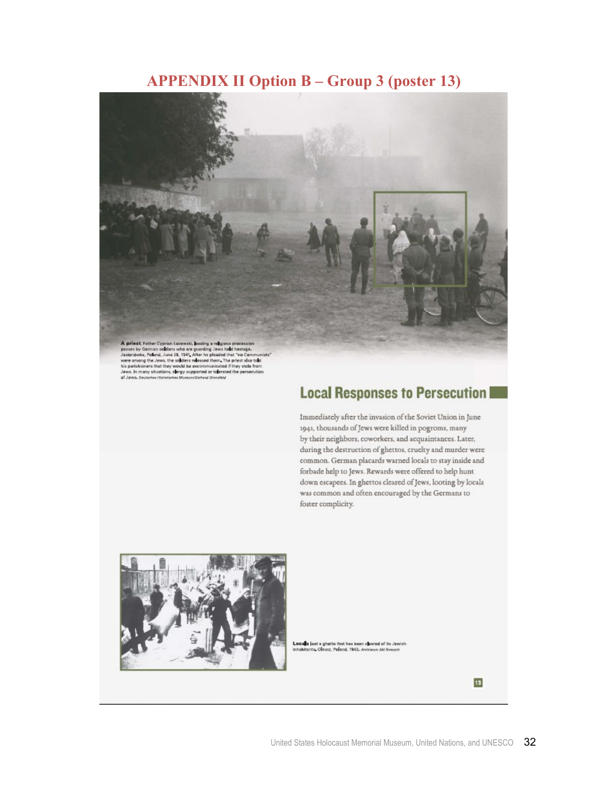## **APPENDIX II Option B – Group 3 (poster 13)**



## **Local Responses to Persecution**

Immediately after the invasion of the Soviet Union in June 1941, thousands of Jews were killed in pogroms, many by their neighbors, coworkers, and acquaintances. Later, during the destruction of ghettos, cruelty and murder were common. German placards warned locals to stay inside and forbade help to Jews. Rewards were offered to help hunt down escapees. In ghettos cleared of Jews, looting by locals was common and often encouraged by the Germans to foster complicity.



Locals jost a ghette that has been cleared of its Jawish<br>inhabitants, Okusz, Poland, 1942, Aerlwum Alt Newych

13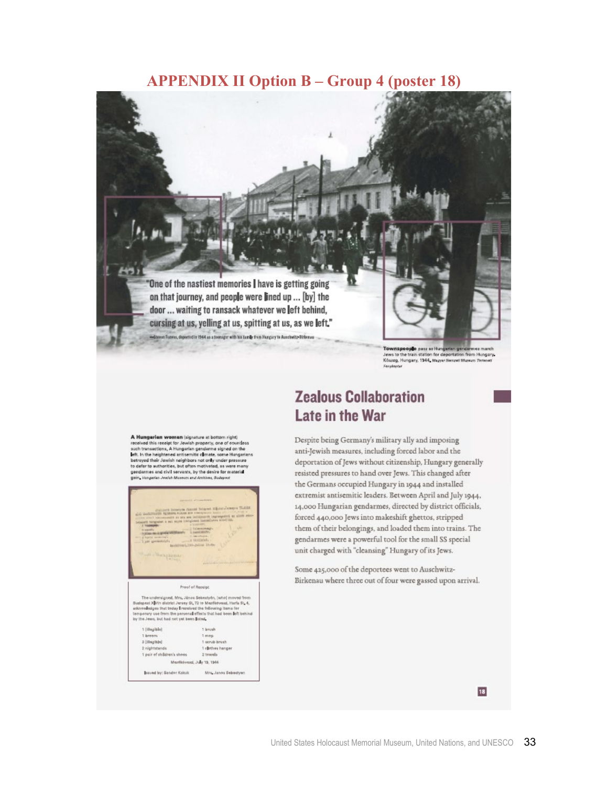## **APPENDIX II Option B – Group 4 (poster 18)**



wnspeop**l**e pass as Hunga Jews to the train station for deportation from Hungary. Köszeg, Hungary, 1944, Magyar Nemzet Museum Ten

A Humgarian woman (signature at bottom right)<br>reselved this receipt for Jewish property, one of countless<br>such transactions, A Hungarian genderme signed on the<br>left. In the heightened entirements clients a some Hungarians<br> gain, Hungarian Jewish Museum and An Niver, Budepea



1 (Hegible) 1 brush 1 broom 1 mep 2 (Hogibje) I scrub brush 1 obthes hange 2 nightstand peir of children's shoes 2 towels

#### Martkövessi, Ady 19, 1944 Bound by: Sandor Koloak Mira, Janos Sebestyen

## **Zealous Collaboration** Late in the War

Despite being Germany's military ally and imposing anti-Jewish measures, including forced labor and the deportation of Jews without citizenship, Hungary generally resisted pressures to hand over Jews. This changed after the Germans occupied Hungary in 1944 and installed extremist antisemitic leaders. Between April and July 1944, 14,000 Hungarian gendarmes, directed by district officials, forced 440,000 Jews into makeshift ghettos, stripped them of their belongings, and loaded them into trains. The gendarmes were a powerful tool for the small SS special unit charged with "cleansing" Hungary of its Jews.

Some 425,000 of the deportees went to Auschwitz-Birkenau where three out of four were gassed upon arrival.

18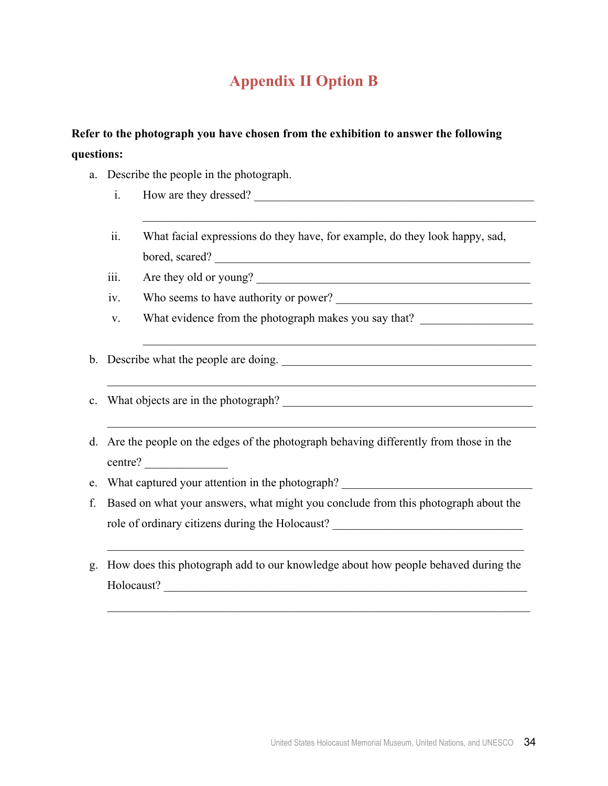## **Appendix II Option B**

## **Refer to the photograph you have chosen from the exhibition to answer the following questions:**

- a. Describe the people in the photograph.
	- i. How are they dressed?

 $\mathcal{L}_\text{G}$  , and the contribution of the contribution of the contribution of the contribution of the contribution of the contribution of the contribution of the contribution of the contribution of the contribution of t

- ii. What facial expressions do they have, for example, do they look happy, sad, bored, scared? \_\_\_\_\_\_\_\_\_\_\_\_\_\_\_\_\_\_\_\_\_\_\_\_\_\_\_\_\_\_\_\_\_\_\_\_\_\_\_\_\_\_\_\_\_\_\_\_\_\_\_\_\_
- iii. Are they old or young?
- iv. Who seems to have authority or power?
- v. What evidence from the photograph makes you say that?
- b. Describe what the people are doing. \_\_\_\_\_\_\_\_\_\_\_\_\_\_\_\_\_\_\_\_\_\_\_\_\_\_\_\_\_\_\_\_\_\_\_\_\_\_\_\_\_\_
- c. What objects are in the photograph?
- d. Are the people on the edges of the photograph behaving differently from those in the centre? \_\_\_\_\_\_\_\_\_\_\_\_\_\_

 $\_$  , and the set of the set of the set of the set of the set of the set of the set of the set of the set of the set of the set of the set of the set of the set of the set of the set of the set of the set of the set of th

- e. What captured your attention in the photograph? \_\_\_\_\_\_\_\_\_\_\_\_\_\_\_\_\_\_\_\_\_\_\_\_\_\_\_\_\_\_
- f. Based on what your answers, what might you conclude from this photograph about the role of ordinary citizens during the Holocaust? \_\_\_\_\_\_\_\_\_\_\_\_\_\_\_\_\_\_\_\_\_\_\_\_\_\_\_\_\_\_\_\_

 $\_$  , and the contribution of the contribution of  $\mathcal{L}_1$  , and  $\mathcal{L}_2$  , and  $\mathcal{L}_3$  , and  $\mathcal{L}_4$ 

 $\_$  , and the contribution of the contribution of  $\mathcal{L}_\mathcal{A}$  , and the contribution of  $\mathcal{L}_\mathcal{A}$ 

g. How does this photograph add to our knowledge about how people behaved during the Holocaust? \_\_\_\_\_\_\_\_\_\_\_\_\_\_\_\_\_\_\_\_\_\_\_\_\_\_\_\_\_\_\_\_\_\_\_\_\_\_\_\_\_\_\_\_\_\_\_\_\_\_\_\_\_\_\_\_\_\_\_\_\_